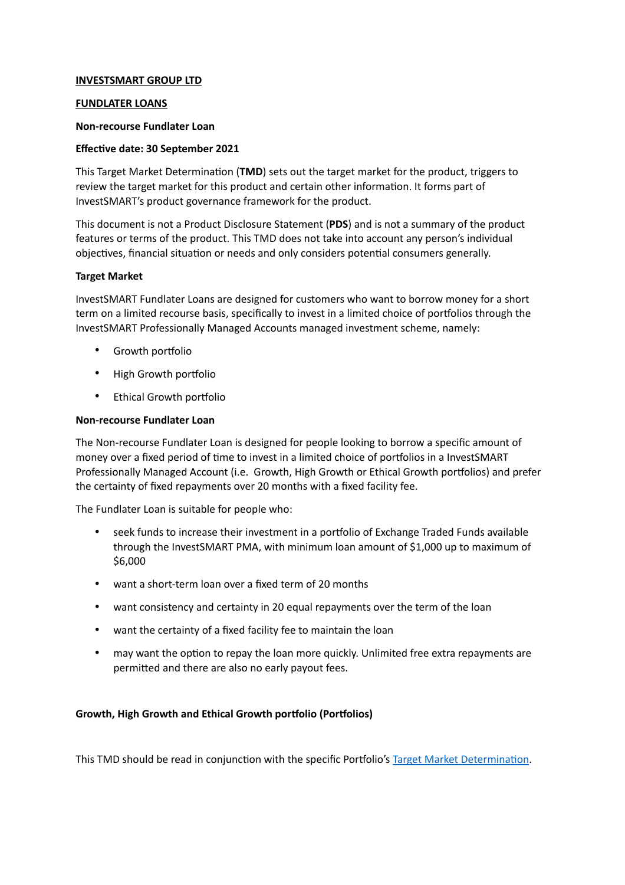# **INVESTSMART GROUP LTD**

# **FUNDLATER LOANS**

### **Non-recourse Fundlater Loan**

### **Effective date: 30 September 2021**

This Target Market Determination (**TMD**) sets out the target market for the product, triggers to review the target market for this product and certain other information. It forms part of InvestSMART's product governance framework for the product.

This document is not a Product Disclosure Statement (**PDS**) and is not a summary of the product features or terms of the product. This TMD does not take into account any person's individual objectives, financial situation or needs and only considers potential consumers generally.

### **Target Market**

InvestSMART Fundlater Loans are designed for customers who want to borrow money for a short term on a limited recourse basis, specifically to invest in a limited choice of portfolios through the InvestSMART Professionally Managed Accounts managed investment scheme, namely:

- Growth portfolio
- High Growth portfolio
- Ethical Growth portfolio

### **Non-recourse Fundlater Loan**

The Non-recourse Fundlater Loan is designed for people looking to borrow a specific amount of money over a fixed period of time to invest in a limited choice of portfolios in a InvestSMART Professionally Managed Account (i.e. Growth, High Growth or Ethical Growth portfolios) and prefer the certainty of fixed repayments over 20 months with a fixed facility fee.

The Fundlater Loan is suitable for people who:

- seek funds to increase their investment in a portfolio of Exchange Traded Funds available through the InvestSMART PMA, with minimum loan amount of \$1,000 up to maximum of \$6,000
- want a short-term loan over a fixed term of 20 months
- want consistency and certainty in 20 equal repayments over the term of the loan
- want the certainty of a fixed facility fee to maintain the loan
- may want the option to repay the loan more quickly. Unlimited free extra repayments are permitted and there are also no early payout fees.

# **Growth, High Growth and Ethical Growth portfolio (Portfolios)**

This TMD should be read in conjunction with the specific Portfolio's [Target Market Determination.](https://www.investsmart.com.au/target-market-determinations)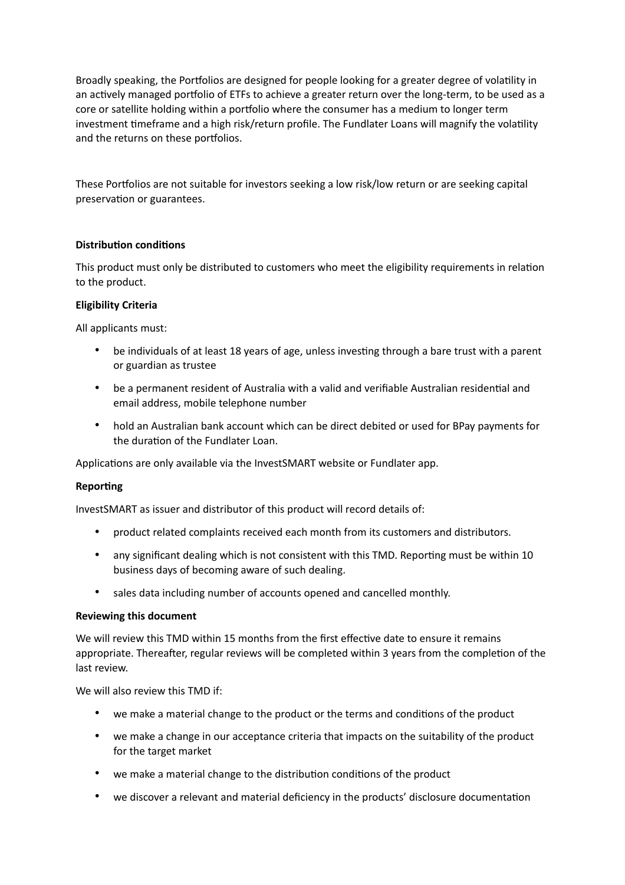Broadly speaking, the Portfolios are designed for people looking for a greater degree of volatility in an actively managed portfolio of ETFs to achieve a greater return over the long-term, to be used as a core or satellite holding within a portfolio where the consumer has a medium to longer term investment timeframe and a high risk/return profile. The Fundlater Loans will magnify the volatility and the returns on these portfolios.

These Portfolios are not suitable for investors seeking a low risk/low return or are seeking capital preservation or guarantees.

# **Distribution conditions**

This product must only be distributed to customers who meet the eligibility requirements in relation to the product.

#### **Eligibility Criteria**

All applicants must:

- be individuals of at least 18 years of age, unless investing through a bare trust with a parent or guardian as trustee
- be a permanent resident of Australia with a valid and verifiable Australian residential and email address, mobile telephone number
- hold an Australian bank account which can be direct debited or used for BPay payments for the duration of the Fundlater Loan.

Applications are only available via the InvestSMART website or Fundlater app.

#### **Reporting**

InvestSMART as issuer and distributor of this product will record details of:

- product related complaints received each month from its customers and distributors.
- any significant dealing which is not consistent with this TMD. Reporting must be within 10 business days of becoming aware of such dealing.
- sales data including number of accounts opened and cancelled monthly.

#### **Reviewing this document**

We will review this TMD within 15 months from the first effective date to ensure it remains appropriate. Thereafter, regular reviews will be completed within 3 years from the completion of the last review.

We will also review this TMD if:

- we make a material change to the product or the terms and conditions of the product
- we make a change in our acceptance criteria that impacts on the suitability of the product for the target market
- we make a material change to the distribution conditions of the product
- we discover a relevant and material deficiency in the products' disclosure documentation